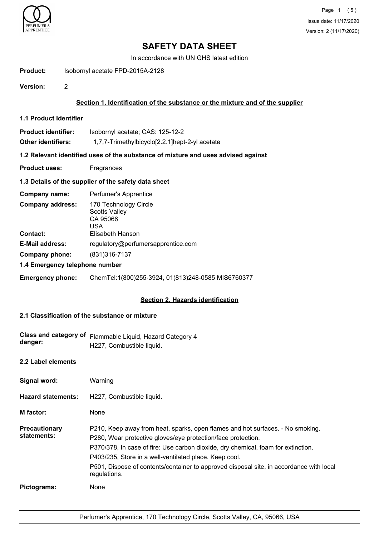

# **SAFETY DATA SHEET**

In accordance with UN GHS latest edition

**Product:** Isobornyl acetate FPD-2015A-2128

**Version:** 2

## **Section 1. Identification of the substance or the mixture and of the supplier**

**1.1 Product Identifier**

| <b>Product identifier:</b> | Isobornyl acetate; CAS: 125-12-2               |
|----------------------------|------------------------------------------------|
| Other identifiers:         | 1,7,7-Trimethylbicyclo[2.2.1]hept-2-yl acetate |

### **1.2 Relevant identified uses of the substance of mixture and uses advised against**

**Product uses:** Fragrances

### **1.3 Details of the supplier of the safety data sheet**

| Company name:                  | Perfumer's Apprentice                                                   |
|--------------------------------|-------------------------------------------------------------------------|
| <b>Company address:</b>        | 170 Technology Circle<br><b>Scotts Valley</b><br>CA 95066<br><b>USA</b> |
| <b>Contact:</b>                | Elisabeth Hanson                                                        |
| <b>E-Mail address:</b>         | regulatory@perfumersapprentice.com                                      |
| Company phone:                 | (831) 316-7137                                                          |
| 1.4 Emergency telephone number |                                                                         |

**Emergency phone:** ChemTel:1(800)255-3924, 01(813)248-0585 MIS6760377

### **Section 2. Hazards identification**

## **2.1 Classification of the substance or mixture**

| Class and category of<br>danger:    | Flammable Liquid, Hazard Category 4<br>H227, Combustible liquid.                                                                                                                                                                                                                                                                                                                                         |
|-------------------------------------|----------------------------------------------------------------------------------------------------------------------------------------------------------------------------------------------------------------------------------------------------------------------------------------------------------------------------------------------------------------------------------------------------------|
| 2.2 Label elements                  |                                                                                                                                                                                                                                                                                                                                                                                                          |
| Signal word:                        | Warning                                                                                                                                                                                                                                                                                                                                                                                                  |
| <b>Hazard statements:</b>           | H227, Combustible liquid.                                                                                                                                                                                                                                                                                                                                                                                |
| <b>M</b> factor:                    | None                                                                                                                                                                                                                                                                                                                                                                                                     |
| <b>Precautionary</b><br>statements: | P210, Keep away from heat, sparks, open flames and hot surfaces. - No smoking.<br>P280, Wear protective gloves/eye protection/face protection.<br>P370/378, In case of fire: Use carbon dioxide, dry chemical, foam for extinction.<br>P403/235, Store in a well-ventilated place. Keep cool.<br>P501, Dispose of contents/container to approved disposal site, in accordance with local<br>regulations. |
| Pictograms:                         | None                                                                                                                                                                                                                                                                                                                                                                                                     |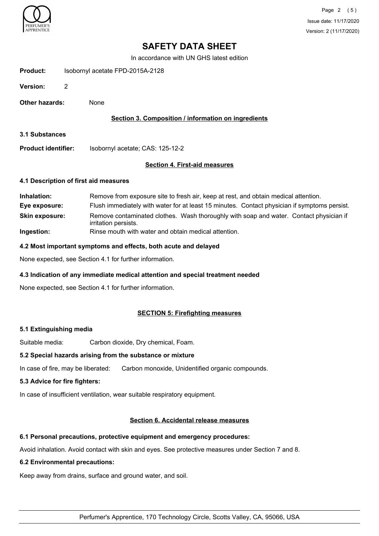

# **SAFETY DATA SHEET**

In accordance with UN GHS latest edition

| Product: |  | Isobornyl acetate FPD-2015A-2128 |  |
|----------|--|----------------------------------|--|
|          |  |                                  |  |

**Version:** 2

**Other hazards:** None

### **Section 3. Composition / information on ingredients**

**3.1 Substances**

**Product identifier:** Isobornyl acetate; CAS: 125-12-2

# **Section 4. First-aid measures**

#### **4.1 Description of first aid measures**

| Inhalation:           | Remove from exposure site to fresh air, keep at rest, and obtain medical attention.                            |
|-----------------------|----------------------------------------------------------------------------------------------------------------|
| Eye exposure:         | Flush immediately with water for at least 15 minutes. Contact physician if symptoms persist.                   |
| <b>Skin exposure:</b> | Remove contaminated clothes. Wash thoroughly with soap and water. Contact physician if<br>irritation persists. |
| Ingestion:            | Rinse mouth with water and obtain medical attention.                                                           |

#### **4.2 Most important symptoms and effects, both acute and delayed**

None expected, see Section 4.1 for further information.

### **4.3 Indication of any immediate medical attention and special treatment needed**

None expected, see Section 4.1 for further information.

### **SECTION 5: Firefighting measures**

### **5.1 Extinguishing media**

Suitable media: Carbon dioxide, Dry chemical, Foam.

### **5.2 Special hazards arising from the substance or mixture**

In case of fire, may be liberated: Carbon monoxide, Unidentified organic compounds.

#### **5.3 Advice for fire fighters:**

In case of insufficient ventilation, wear suitable respiratory equipment.

### **Section 6. Accidental release measures**

## **6.1 Personal precautions, protective equipment and emergency procedures:**

Avoid inhalation. Avoid contact with skin and eyes. See protective measures under Section 7 and 8.

### **6.2 Environmental precautions:**

Keep away from drains, surface and ground water, and soil.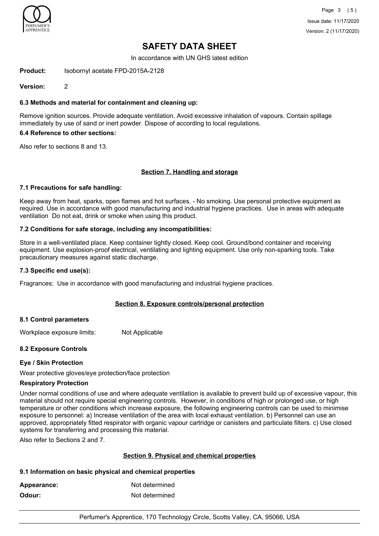

# **SAFETY DATA SHEET**

In accordance with UN GHS latest edition

**Product:** Isobornyl acetate FPD-2015A-2128

**Version:** 2

### **6.3 Methods and material for containment and cleaning up:**

Remove ignition sources. Provide adequate ventilation. Avoid excessive inhalation of vapours. Contain spillage immediately by use of sand or inert powder. Dispose of according to local regulations.

#### **6.4 Reference to other sections:**

Also refer to sections 8 and 13.

### **Section 7. Handling and storage**

### **7.1 Precautions for safe handling:**

Keep away from heat, sparks, open flames and hot surfaces. - No smoking. Use personal protective equipment as required. Use in accordance with good manufacturing and industrial hygiene practices. Use in areas with adequate ventilation Do not eat, drink or smoke when using this product.

### **7.2 Conditions for safe storage, including any incompatibilities:**

Store in a well-ventilated place. Keep container tightly closed. Keep cool. Ground/bond container and receiving equipment. Use explosion-proof electrical, ventilating and lighting equipment. Use only non-sparking tools. Take precautionary measures against static discharge.

#### **7.3 Specific end use(s):**

Fragrances: Use in accordance with good manufacturing and industrial hygiene practices.

### **Section 8. Exposure controls/personal protection**

### **8.1 Control parameters**

Workplace exposure limits: Not Applicable

### **8.2 Exposure Controls**

### **Eye / Skin Protection**

Wear protective gloves/eye protection/face protection

### **Respiratory Protection**

Under normal conditions of use and where adequate ventilation is available to prevent build up of excessive vapour, this material should not require special engineering controls. However, in conditions of high or prolonged use, or high temperature or other conditions which increase exposure, the following engineering controls can be used to minimise exposure to personnel: a) Increase ventilation of the area with local exhaust ventilation. b) Personnel can use an approved, appropriately fitted respirator with organic vapour cartridge or canisters and particulate filters. c) Use closed systems for transferring and processing this material.

Also refer to Sections 2 and 7.

### **Section 9. Physical and chemical properties**

### **9.1 Information on basic physical and chemical properties**

| Appearance: | Not determined |
|-------------|----------------|
| Odour:      | Not determined |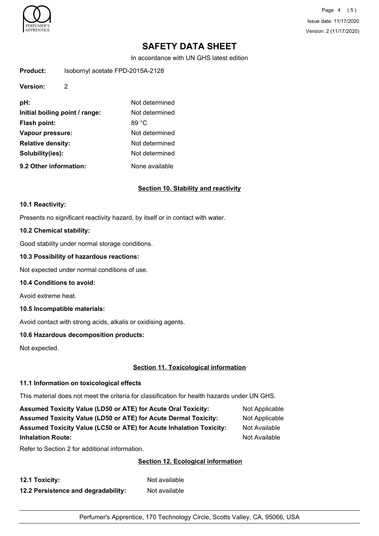

Page 4 (5) Issue date: 11/17/2020 Version: 2 (11/17/2020)

# **SAFETY DATA SHEET**

In accordance with UN GHS latest edition

| Product: | Isobornyl acetate FPD-2015A-2128 |
|----------|----------------------------------|
| Version: | 2                                |
|          |                                  |

| pH:                            | Not determined |
|--------------------------------|----------------|
| Initial boiling point / range: | Not determined |
| Flash point:                   | 89 °C          |
| Vapour pressure:               | Not determined |
| <b>Relative density:</b>       | Not determined |
| Solubility(ies):               | Not determined |
| 9.2 Other information:         | None available |

### **Section 10. Stability and reactivity**

#### **10.1 Reactivity:**

Presents no significant reactivity hazard, by itself or in contact with water.

#### **10.2 Chemical stability:**

Good stability under normal storage conditions.

#### **10.3 Possibility of hazardous reactions:**

Not expected under normal conditions of use.

#### **10.4 Conditions to avoid:**

Avoid extreme heat.

#### **10.5 Incompatible materials:**

Avoid contact with strong acids, alkalis or oxidising agents.

## **10.6 Hazardous decomposition products:**

Not expected.

## **Section 11. Toxicological information**

### **11.1 Information on toxicological effects**

This material does not meet the criteria for classification for health hazards under UN GHS.

| <b>Assumed Toxicity Value (LD50 or ATE) for Acute Oral Toxicity:</b>       | Not Applicable |
|----------------------------------------------------------------------------|----------------|
| <b>Assumed Toxicity Value (LD50 or ATE) for Acute Dermal Toxicity:</b>     | Not Applicable |
| <b>Assumed Toxicity Value (LC50 or ATE) for Acute Inhalation Toxicity:</b> | Not Available  |
| <b>Inhalation Route:</b>                                                   | Not Available  |

Refer to Section 2 for additional information.

### **Section 12. Ecological information**

| 12.1 Toxicity:                      | Not available |
|-------------------------------------|---------------|
| 12.2 Persistence and degradability: | Not available |